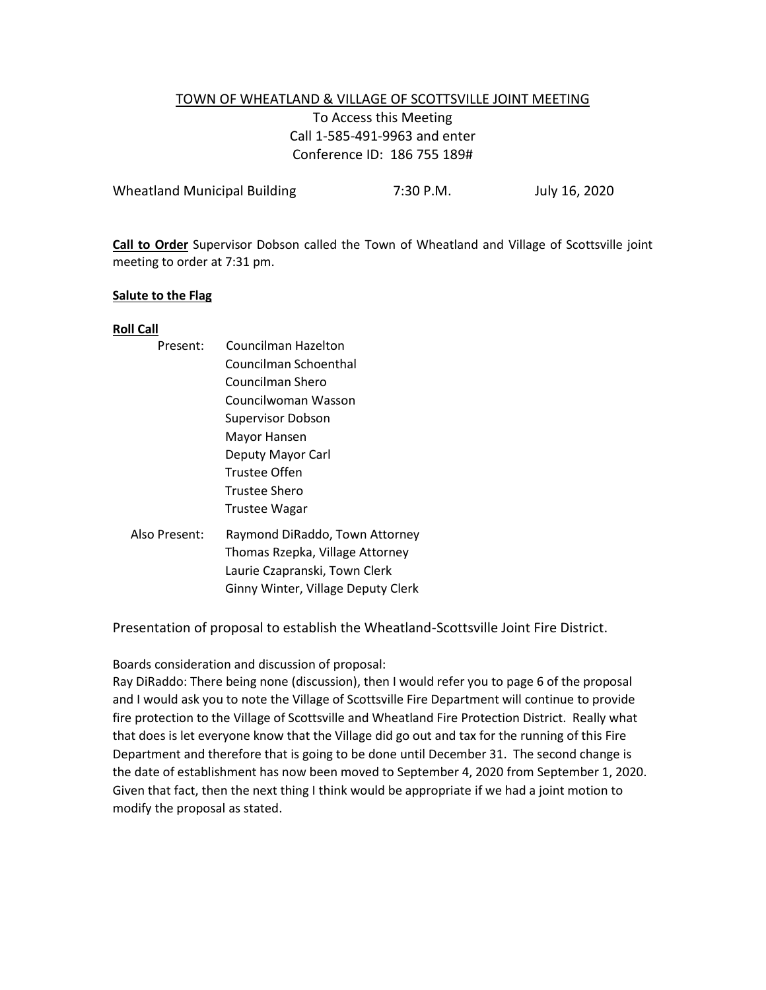## TOWN OF WHEATLAND & VILLAGE OF SCOTTSVILLE JOINT MEETING To Access this Meeting Call 1-585-491-9963 and enter Conference ID: 186 755 189#

| <b>Wheatland Municipal Building</b> | 7:30 P.M. | July 16, 2020 |
|-------------------------------------|-----------|---------------|
|                                     |           |               |

**Call to Order** Supervisor Dobson called the Town of Wheatland and Village of Scottsville joint meeting to order at 7:31 pm.

### **Salute to the Flag**

### **Roll Call**

| Present:      | Councilman Hazelton                |
|---------------|------------------------------------|
|               | Councilman Schoenthal              |
|               | Councilman Shero                   |
|               | Councilwoman Wasson                |
|               | <b>Supervisor Dobson</b>           |
|               | Mayor Hansen                       |
|               | Deputy Mayor Carl                  |
|               | Trustee Offen                      |
|               | Trustee Shero                      |
|               | Trustee Wagar                      |
| Also Present: | Raymond DiRaddo, Town Attorney     |
|               | Thomas Rzepka, Village Attorney    |
|               | Laurie Czapranski, Town Clerk      |
|               | Ginny Winter, Village Deputy Clerk |
|               |                                    |

Presentation of proposal to establish the Wheatland-Scottsville Joint Fire District.

Boards consideration and discussion of proposal:

Ray DiRaddo: There being none (discussion), then I would refer you to page 6 of the proposal and I would ask you to note the Village of Scottsville Fire Department will continue to provide fire protection to the Village of Scottsville and Wheatland Fire Protection District. Really what that does is let everyone know that the Village did go out and tax for the running of this Fire Department and therefore that is going to be done until December 31. The second change is the date of establishment has now been moved to September 4, 2020 from September 1, 2020. Given that fact, then the next thing I think would be appropriate if we had a joint motion to modify the proposal as stated.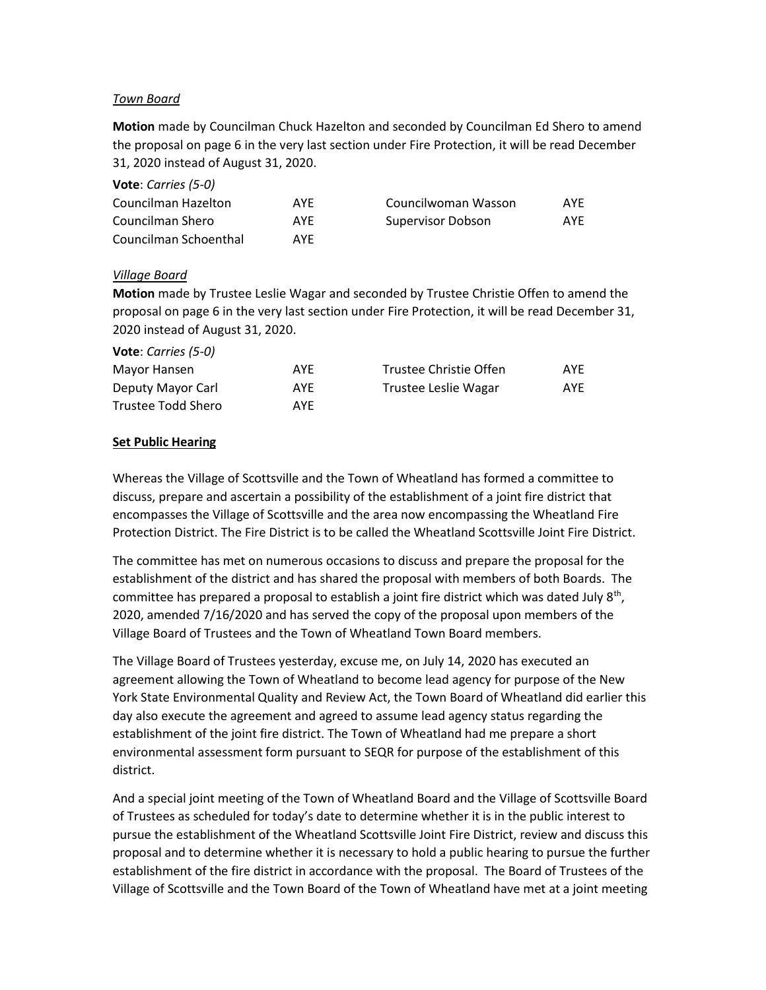### *Town Board*

**Motion** made by Councilman Chuck Hazelton and seconded by Councilman Ed Shero to amend the proposal on page 6 in the very last section under Fire Protection, it will be read December 31, 2020 instead of August 31, 2020.

| <b>VULC.</b> CUITIES 1J-07 |     |                     |     |
|----------------------------|-----|---------------------|-----|
| Councilman Hazelton        | AYF | Councilwoman Wasson | AYE |
| Councilman Shero           | AYE | Supervisor Dobson   | AYF |
| Councilman Schoenthal      | AYF |                     |     |

## *Village Board*

**Vote**: *Carries (5-0)*

**Motion** made by Trustee Leslie Wagar and seconded by Trustee Christie Offen to amend the proposal on page 6 in the very last section under Fire Protection, it will be read December 31, 2020 instead of August 31, 2020.

| <b>Vote:</b> Carries (5-0) |     |                        |     |
|----------------------------|-----|------------------------|-----|
| Mayor Hansen               | AYE | Trustee Christie Offen | AYF |
| Deputy Mayor Carl          | AYE | Trustee Leslie Wagar   | AYE |
| Trustee Todd Shero         | AYF |                        |     |

## **Set Public Hearing**

Whereas the Village of Scottsville and the Town of Wheatland has formed a committee to discuss, prepare and ascertain a possibility of the establishment of a joint fire district that encompasses the Village of Scottsville and the area now encompassing the Wheatland Fire Protection District. The Fire District is to be called the Wheatland Scottsville Joint Fire District.

The committee has met on numerous occasions to discuss and prepare the proposal for the establishment of the district and has shared the proposal with members of both Boards. The committee has prepared a proposal to establish a joint fire district which was dated July 8<sup>th</sup>, 2020, amended 7/16/2020 and has served the copy of the proposal upon members of the Village Board of Trustees and the Town of Wheatland Town Board members.

The Village Board of Trustees yesterday, excuse me, on July 14, 2020 has executed an agreement allowing the Town of Wheatland to become lead agency for purpose of the New York State Environmental Quality and Review Act, the Town Board of Wheatland did earlier this day also execute the agreement and agreed to assume lead agency status regarding the establishment of the joint fire district. The Town of Wheatland had me prepare a short environmental assessment form pursuant to SEQR for purpose of the establishment of this district.

And a special joint meeting of the Town of Wheatland Board and the Village of Scottsville Board of Trustees as scheduled for today's date to determine whether it is in the public interest to pursue the establishment of the Wheatland Scottsville Joint Fire District, review and discuss this proposal and to determine whether it is necessary to hold a public hearing to pursue the further establishment of the fire district in accordance with the proposal. The Board of Trustees of the Village of Scottsville and the Town Board of the Town of Wheatland have met at a joint meeting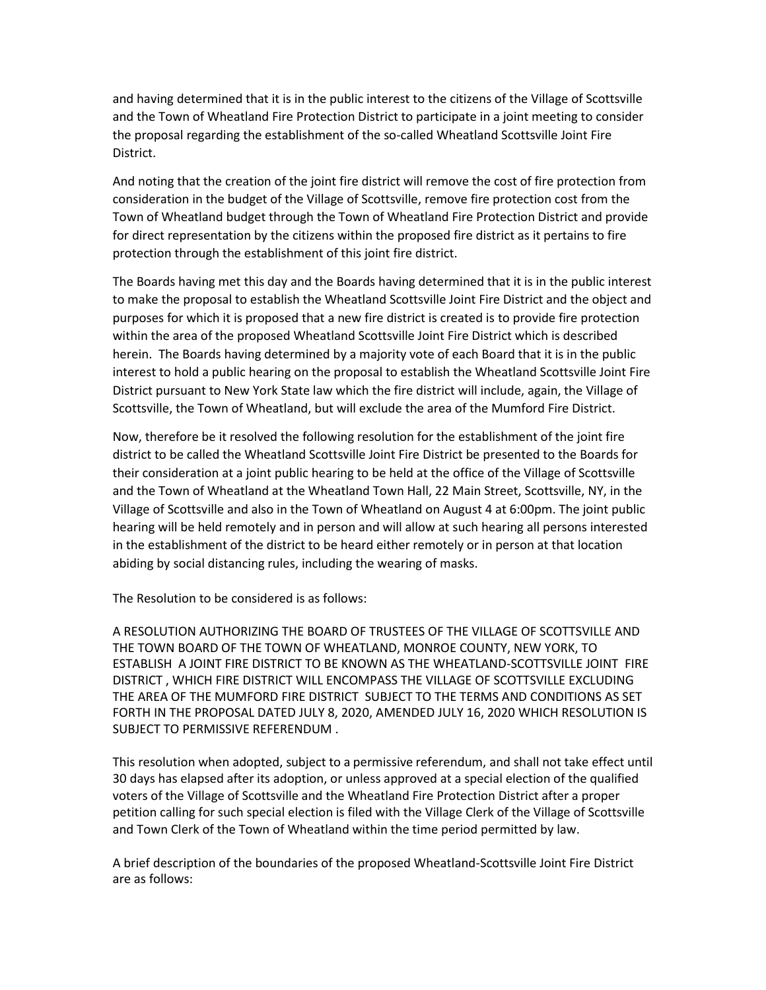and having determined that it is in the public interest to the citizens of the Village of Scottsville and the Town of Wheatland Fire Protection District to participate in a joint meeting to consider the proposal regarding the establishment of the so-called Wheatland Scottsville Joint Fire District.

And noting that the creation of the joint fire district will remove the cost of fire protection from consideration in the budget of the Village of Scottsville, remove fire protection cost from the Town of Wheatland budget through the Town of Wheatland Fire Protection District and provide for direct representation by the citizens within the proposed fire district as it pertains to fire protection through the establishment of this joint fire district.

The Boards having met this day and the Boards having determined that it is in the public interest to make the proposal to establish the Wheatland Scottsville Joint Fire District and the object and purposes for which it is proposed that a new fire district is created is to provide fire protection within the area of the proposed Wheatland Scottsville Joint Fire District which is described herein. The Boards having determined by a majority vote of each Board that it is in the public interest to hold a public hearing on the proposal to establish the Wheatland Scottsville Joint Fire District pursuant to New York State law which the fire district will include, again, the Village of Scottsville, the Town of Wheatland, but will exclude the area of the Mumford Fire District.

Now, therefore be it resolved the following resolution for the establishment of the joint fire district to be called the Wheatland Scottsville Joint Fire District be presented to the Boards for their consideration at a joint public hearing to be held at the office of the Village of Scottsville and the Town of Wheatland at the Wheatland Town Hall, 22 Main Street, Scottsville, NY, in the Village of Scottsville and also in the Town of Wheatland on August 4 at 6:00pm. The joint public hearing will be held remotely and in person and will allow at such hearing all persons interested in the establishment of the district to be heard either remotely or in person at that location abiding by social distancing rules, including the wearing of masks.

The Resolution to be considered is as follows:

A RESOLUTION AUTHORIZING THE BOARD OF TRUSTEES OF THE VILLAGE OF SCOTTSVILLE AND THE TOWN BOARD OF THE TOWN OF WHEATLAND, MONROE COUNTY, NEW YORK, TO ESTABLISH A JOINT FIRE DISTRICT TO BE KNOWN AS THE WHEATLAND-SCOTTSVILLE JOINT FIRE DISTRICT , WHICH FIRE DISTRICT WILL ENCOMPASS THE VILLAGE OF SCOTTSVILLE EXCLUDING THE AREA OF THE MUMFORD FIRE DISTRICT SUBJECT TO THE TERMS AND CONDITIONS AS SET FORTH IN THE PROPOSAL DATED JULY 8, 2020, AMENDED JULY 16, 2020 WHICH RESOLUTION IS SUBJECT TO PERMISSIVE REFERENDUM .

This resolution when adopted, subject to a permissive referendum, and shall not take effect until 30 days has elapsed after its adoption, or unless approved at a special election of the qualified voters of the Village of Scottsville and the Wheatland Fire Protection District after a proper petition calling for such special election is filed with the Village Clerk of the Village of Scottsville and Town Clerk of the Town of Wheatland within the time period permitted by law.

A brief description of the boundaries of the proposed Wheatland-Scottsville Joint Fire District are as follows: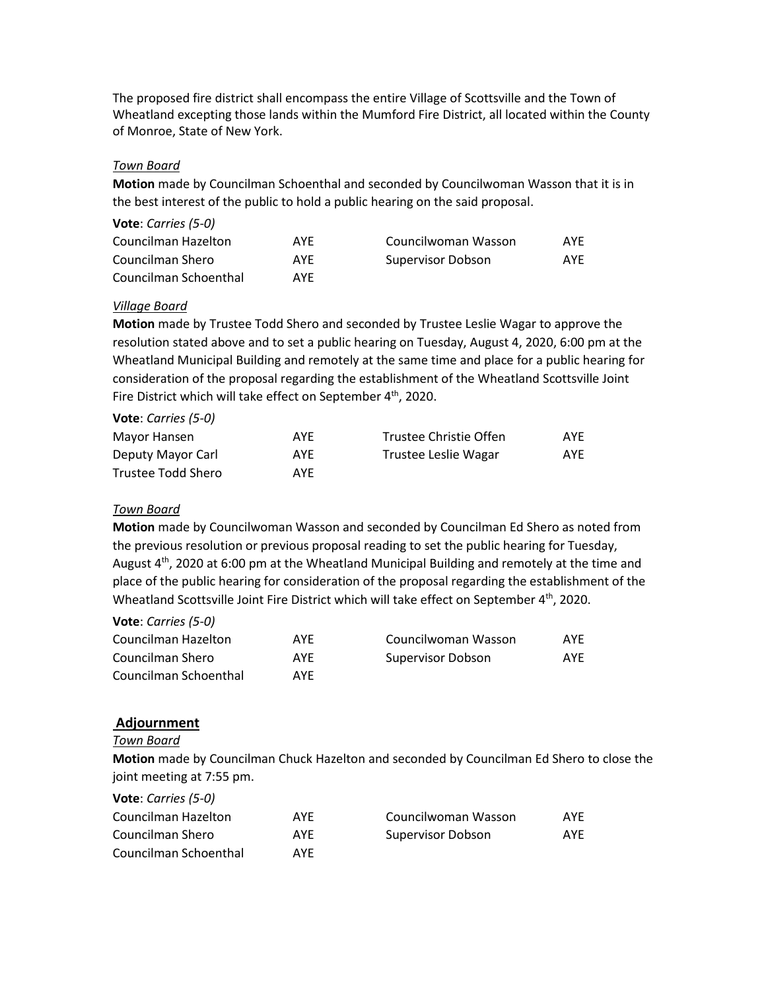The proposed fire district shall encompass the entire Village of Scottsville and the Town of Wheatland excepting those lands within the Mumford Fire District, all located within the County of Monroe, State of New York.

## *Town Board*

**Motion** made by Councilman Schoenthal and seconded by Councilwoman Wasson that it is in the best interest of the public to hold a public hearing on the said proposal.

| Vote: Carries (5-0)   |     |                     |     |
|-----------------------|-----|---------------------|-----|
| Councilman Hazelton   | AYF | Councilwoman Wasson | AYE |
| Councilman Shero      | AYE | Supervisor Dobson   | AYE |
| Councilman Schoenthal | AYE |                     |     |

## *Village Board*

**Motion** made by Trustee Todd Shero and seconded by Trustee Leslie Wagar to approve the resolution stated above and to set a public hearing on Tuesday, August 4, 2020, 6:00 pm at the Wheatland Municipal Building and remotely at the same time and place for a public hearing for consideration of the proposal regarding the establishment of the Wheatland Scottsville Joint Fire District which will take effect on September 4<sup>th</sup>, 2020.

| Vote: Carries (5-0) |     |                        |     |
|---------------------|-----|------------------------|-----|
| Mayor Hansen        | AYE | Trustee Christie Offen | AYE |
| Deputy Mayor Carl   | AYE | Trustee Leslie Wagar   | AYE |
| Trustee Todd Shero  | AYE |                        |     |

### *Town Board*

**Motion** made by Councilwoman Wasson and seconded by Councilman Ed Shero as noted from the previous resolution or previous proposal reading to set the public hearing for Tuesday, August 4<sup>th</sup>, 2020 at 6:00 pm at the Wheatland Municipal Building and remotely at the time and place of the public hearing for consideration of the proposal regarding the establishment of the Wheatland Scottsville Joint Fire District which will take effect on September 4<sup>th</sup>, 2020.

### **Vote**: *Carries (5-0)*

| Councilman Hazelton   | AYE | Councilwoman Wasson | AYE |
|-----------------------|-----|---------------------|-----|
| Councilman Shero      | AYE | Supervisor Dobson   | AYF |
| Councilman Schoenthal | AYE |                     |     |

## **Adjournment**

### *Town Board*

**Motion** made by Councilman Chuck Hazelton and seconded by Councilman Ed Shero to close the joint meeting at 7:55 pm.

| Vote: Carries (5-0)   |            |                     |     |
|-----------------------|------------|---------------------|-----|
| Councilman Hazelton   | <b>AYF</b> | Councilwoman Wasson | AYE |
| Councilman Shero      | <b>AYF</b> | Supervisor Dobson   | AYE |
| Councilman Schoenthal | AYF        |                     |     |